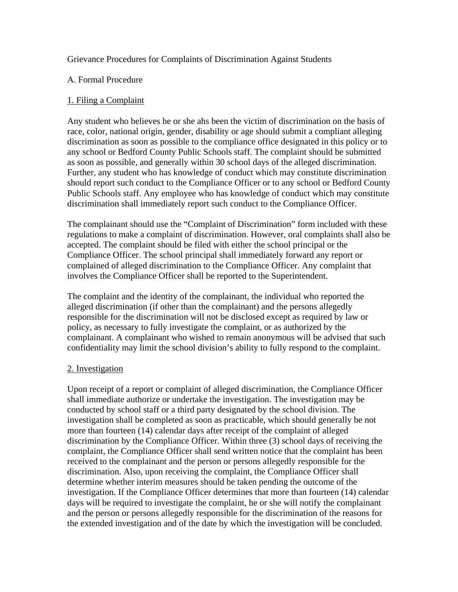## Grievance Procedures for Complaints of Discrimination Against Students

### A. Formal Procedure

### 1. Filing a Complaint

Any student who believes he or she ahs been the victim of discrimination on the basis of race, color, national origin, gender, disability or age should submit a compliant alleging discrimination as soon as possible to the compliance office designated in this policy or to any school or Bedford County Public Schools staff. The complaint should be submitted as soon as possible, and generally within 30 school days of the alleged discrimination. Further, any student who has knowledge of conduct which may constitute discrimination should report such conduct to the Compliance Officer or to any school or Bedford County Public Schools staff. Any employee who has knowledge of conduct which may constitute discrimination shall immediately report such conduct to the Compliance Officer.

The complainant should use the "Complaint of Discrimination" form included with these regulations to make a complaint of discrimination. However, oral complaints shall also be accepted. The complaint should be filed with either the school principal or the Compliance Officer. The school principal shall immediately forward any report or complained of alleged discrimination to the Compliance Officer. Any complaint that involves the Compliance Officer shall be reported to the Superintendent.

The complaint and the identity of the complainant, the individual who reported the alleged discrimination (if other than the complainant) and the persons allegedly responsible for the discrimination will not be disclosed except as required by law or policy, as necessary to fully investigate the complaint, or as authorized by the complainant. A complainant who wished to remain anonymous will be advised that such confidentiality may limit the school division's ability to fully respond to the complaint.

#### 2. Investigation

Upon receipt of a report or complaint of alleged discrimination, the Compliance Officer shall immediate authorize or undertake the investigation. The investigation may be conducted by school staff or a third party designated by the school division. The investigation shall be completed as soon as practicable, which should generally be not more than fourteen (14) calendar days after receipt of the complaint of alleged discrimination by the Compliance Officer. Within three (3) school days of receiving the complaint, the Compliance Officer shall send written notice that the complaint has been received to the complainant and the person or persons allegedly responsible for the discrimination. Also, upon receiving the complaint, the Compliance Officer shall determine whether interim measures should be taken pending the outcome of the investigation. If the Compliance Officer determines that more than fourteen (14) calendar days will be required to investigate the complaint, he or she will notify the complainant and the person or persons allegedly responsible for the discrimination of the reasons for the extended investigation and of the date by which the investigation will be concluded.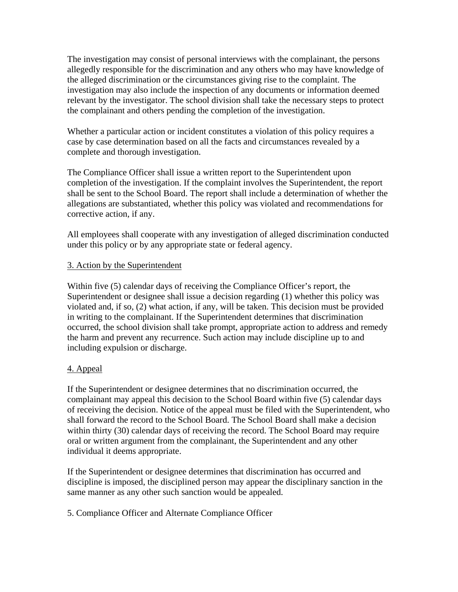The investigation may consist of personal interviews with the complainant, the persons allegedly responsible for the discrimination and any others who may have knowledge of the alleged discrimination or the circumstances giving rise to the complaint. The investigation may also include the inspection of any documents or information deemed relevant by the investigator. The school division shall take the necessary steps to protect the complainant and others pending the completion of the investigation.

Whether a particular action or incident constitutes a violation of this policy requires a case by case determination based on all the facts and circumstances revealed by a complete and thorough investigation.

The Compliance Officer shall issue a written report to the Superintendent upon completion of the investigation. If the complaint involves the Superintendent, the report shall be sent to the School Board. The report shall include a determination of whether the allegations are substantiated, whether this policy was violated and recommendations for corrective action, if any.

All employees shall cooperate with any investigation of alleged discrimination conducted under this policy or by any appropriate state or federal agency.

## 3. Action by the Superintendent

Within five (5) calendar days of receiving the Compliance Officer's report, the Superintendent or designee shall issue a decision regarding (1) whether this policy was violated and, if so, (2) what action, if any, will be taken. This decision must be provided in writing to the complainant. If the Superintendent determines that discrimination occurred, the school division shall take prompt, appropriate action to address and remedy the harm and prevent any recurrence. Such action may include discipline up to and including expulsion or discharge.

# 4. Appeal

If the Superintendent or designee determines that no discrimination occurred, the complainant may appeal this decision to the School Board within five (5) calendar days of receiving the decision. Notice of the appeal must be filed with the Superintendent, who shall forward the record to the School Board. The School Board shall make a decision within thirty (30) calendar days of receiving the record. The School Board may require oral or written argument from the complainant, the Superintendent and any other individual it deems appropriate.

If the Superintendent or designee determines that discrimination has occurred and discipline is imposed, the disciplined person may appear the disciplinary sanction in the same manner as any other such sanction would be appealed.

5. Compliance Officer and Alternate Compliance Officer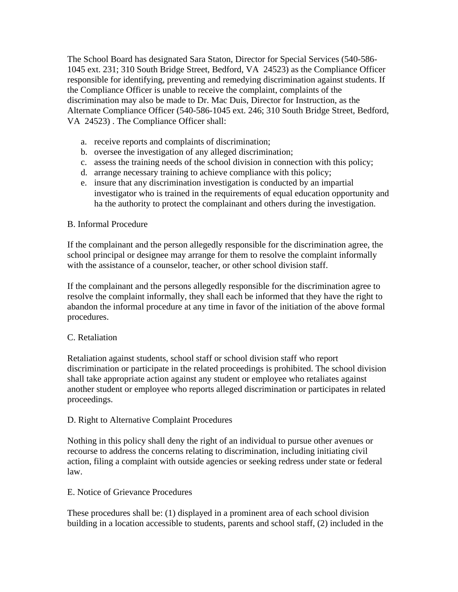The School Board has designated Sara Staton, Director for Special Services (540-586- 1045 ext. 231; 310 South Bridge Street, Bedford, VA 24523) as the Compliance Officer responsible for identifying, preventing and remedying discrimination against students. If the Compliance Officer is unable to receive the complaint, complaints of the discrimination may also be made to Dr. Mac Duis, Director for Instruction, as the Alternate Compliance Officer (540-586-1045 ext. 246; 310 South Bridge Street, Bedford, VA 24523) . The Compliance Officer shall:

- a. receive reports and complaints of discrimination;
- b. oversee the investigation of any alleged discrimination;
- c. assess the training needs of the school division in connection with this policy;
- d. arrange necessary training to achieve compliance with this policy;
- e. insure that any discrimination investigation is conducted by an impartial investigator who is trained in the requirements of equal education opportunity and ha the authority to protect the complainant and others during the investigation.

# B. Informal Procedure

If the complainant and the person allegedly responsible for the discrimination agree, the school principal or designee may arrange for them to resolve the complaint informally with the assistance of a counselor, teacher, or other school division staff.

If the complainant and the persons allegedly responsible for the discrimination agree to resolve the complaint informally, they shall each be informed that they have the right to abandon the informal procedure at any time in favor of the initiation of the above formal procedures.

# C. Retaliation

Retaliation against students, school staff or school division staff who report discrimination or participate in the related proceedings is prohibited. The school division shall take appropriate action against any student or employee who retaliates against another student or employee who reports alleged discrimination or participates in related proceedings.

#### D. Right to Alternative Complaint Procedures

Nothing in this policy shall deny the right of an individual to pursue other avenues or recourse to address the concerns relating to discrimination, including initiating civil action, filing a complaint with outside agencies or seeking redress under state or federal law.

#### E. Notice of Grievance Procedures

These procedures shall be: (1) displayed in a prominent area of each school division building in a location accessible to students, parents and school staff, (2) included in the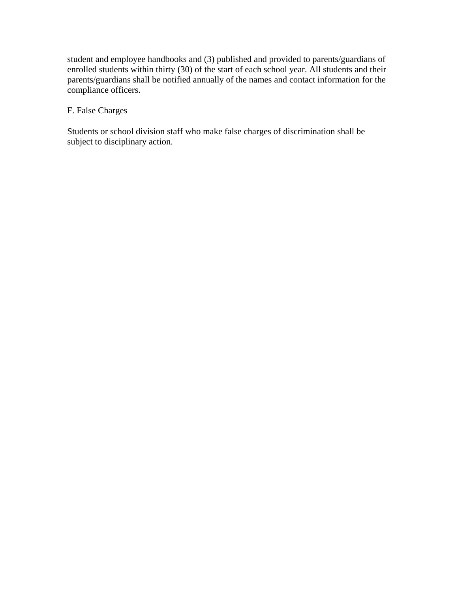student and employee handbooks and (3) published and provided to parents/guardians of enrolled students within thirty (30) of the start of each school year. All students and their parents/guardians shall be notified annually of the names and contact information for the compliance officers.

# F. False Charges

Students or school division staff who make false charges of discrimination shall be subject to disciplinary action.